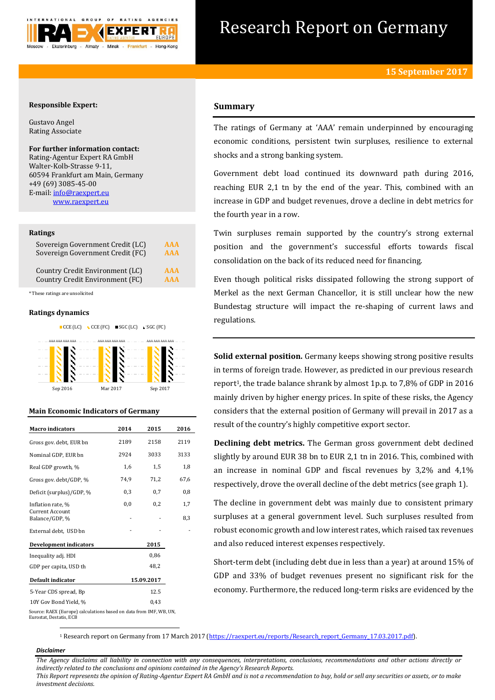

# Research Report on Germany

## **Responsible Expert:**

Gustavo Angel Rating Associate

## **For further information contact:**

Rating-Agentur Expert RA GmbH Walter-Kolb-Strasse 9-11, 60594 Frankfurt am Main, Germany +49 (69) 3085-45-00 E-mail[: info@raexpert.eu](mailto:info@raexpert.eu) [www.raexpert.eu](http://raexpert.eu/)

## **Ratings**

| Sovereign Government Credit (LC) | AAA        |
|----------------------------------|------------|
| Sovereign Government Credit (FC) | <b>AAA</b> |
| Country Credit Environment (LC)  | <b>AAA</b> |
| Country Credit Environment (FC)  | <b>AAA</b> |

\* These ratings are unsolicited

## **Ratings dynamics**





## **Main Economic Indicators of Germany**

| <b>Macro</b> indicators                                                                       | 2014 |            | 2016 |
|-----------------------------------------------------------------------------------------------|------|------------|------|
|                                                                                               |      | 2015       |      |
| Gross gov. debt, EUR bn                                                                       | 2189 | 2158       | 2119 |
| Nominal GDP, EUR bn                                                                           | 2924 | 3033       | 3133 |
| Real GDP growth, %                                                                            | 1,6  | 1,5        | 1,8  |
| Gross gov. debt/GDP, %                                                                        | 74.9 | 71,2       | 67,6 |
| Deficit (surplus)/GDP, %                                                                      | 0,3  | 0,7        | 0,8  |
| Inflation rate, %                                                                             | 0,0  | 0,2        | 1,7  |
| <b>Current Account</b><br>Balance/GDP, %                                                      |      |            | 8,3  |
| External debt, USD bn                                                                         |      |            |      |
| <b>Development indicators</b>                                                                 |      | 2015       |      |
| Inequality adj. HDI                                                                           |      | 0,86       |      |
| GDP per capita, USD th                                                                        |      | 48.2       |      |
| Default indicator                                                                             |      | 15.09.2017 |      |
| 5-Year CDS spread, Bp                                                                         |      | 12.5       |      |
| 10Y Gov Bond Yield, %                                                                         |      | 0,43       |      |
| Source: RAEX (Europe) calculations based on data from IMF, WB, UN,<br>Eurostat, Destatis, ECB |      |            |      |

## **Summary**

The ratings of Germany at 'AAA' remain underpinned by encouraging economic conditions, persistent twin surpluses, resilience to external shocks and a strong banking system.

Government debt load continued its downward path during 2016, reaching EUR 2,1 tn by the end of the year. This, combined with an increase in GDP and budget revenues, drove a decline in debt metrics for the fourth year in a row.

Twin surpluses remain supported by the country's strong external position and the government's successful efforts towards fiscal consolidation on the back of its reduced need for financing.

Even though political risks dissipated following the strong support of Merkel as the next German Chancellor, it is still unclear how the new Bundestag structure will impact the re-shaping of current laws and regulations.

**Solid external position.** Germany keeps showing strong positive results in terms of foreign trade. However, as predicted in our previous research report1, the trade balance shrank by almost 1p.p. to 7,8% of GDP in 2016 mainly driven by higher energy prices. In spite of these risks, the Agency considers that the external position of Germany will prevail in 2017 as a result of the country's highly competitive export sector.

**Declining debt metrics.** The German gross government debt declined slightly by around EUR 38 bn to EUR 2,1 tn in 2016. This, combined with an increase in nominal GDP and fiscal revenues by 3,2% and 4,1% respectively, drove the overall decline of the debt metrics (see graph 1).

The decline in government debt was mainly due to consistent primary surpluses at a general government level. Such surpluses resulted from robust economic growth and low interest rates, which raised tax revenues and also reduced interest expenses respectively.

Short-term debt (including debt due in less than a year) at around 15% of GDP and 33% of budget revenues present no significant risk for the economy. Furthermore, the reduced long-term risks are evidenced by the

1 Research report on Germany from 17 March 2017 [\(https://raexpert.eu/reports/Research\\_report\\_Germany\\_17.03.2017.pdf\)](https://raexpert.eu/reports/Research_report_Germany_17.03.2017.pdf).

## *Disclaimer*

1

*The Agency disclaims all liability in connection with any consequences, interpretations, conclusions, recommendations and other actions directly or indirectly related to the conclusions and opinions contained in the Agency's Research Reports. This Report represents the opinion of Rating-Agentur Expert RA GmbH and is not a recommendation to buy, hold or sell any securities or assets, or to make* 

*investment decisions.*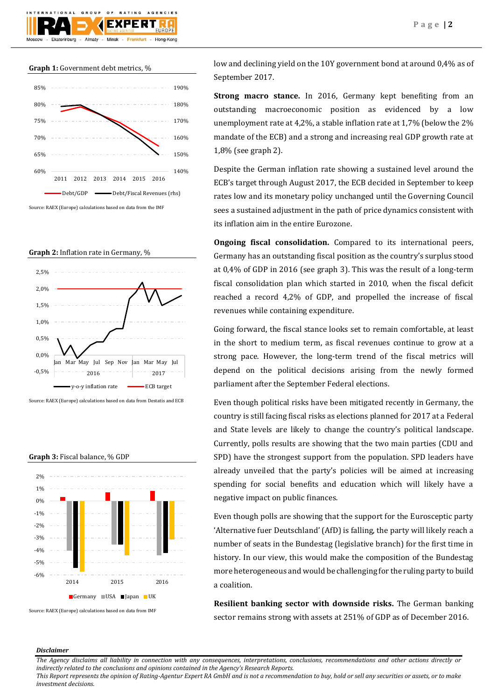

## **Graph 1:** Government debt metrics, %



Source: RAEX (Europe) calculations based on data from the IMF

**Graph 2:** Inflation rate in Germany, %



Source: RAEX (Europe) calculations based on data from Destatis and ECB

**Graph 3:** Fiscal balance, % GDP



low and declining yield on the 10Y government bond at around 0,4% as of September 2017.

**Strong macro stance.** In 2016, Germany kept benefiting from an outstanding macroeconomic position as evidenced by a low unemployment rate at 4,2%, a stable inflation rate at 1,7% (below the 2% mandate of the ECB) and a strong and increasing real GDP growth rate at 1,8% (see graph 2).

Despite the German inflation rate showing a sustained level around the ECB's target through August 2017, the ECB decided in September to keep rates low and its monetary policy unchanged until the Governing Council sees a sustained adjustment in the path of price dynamics consistent with its inflation aim in the entire Eurozone.

**Ongoing fiscal consolidation.** Compared to its international peers, Germany has an outstanding fiscal position as the country's surplus stood at 0,4% of GDP in 2016 (see graph 3). This was the result of a long-term fiscal consolidation plan which started in 2010, when the fiscal deficit reached a record 4,2% of GDP, and propelled the increase of fiscal revenues while containing expenditure.

Going forward, the fiscal stance looks set to remain comfortable, at least in the short to medium term, as fiscal revenues continue to grow at a strong pace. However, the long-term trend of the fiscal metrics will depend on the political decisions arising from the newly formed parliament after the September Federal elections.

Even though political risks have been mitigated recently in Germany, the country is still facing fiscal risks as elections planned for 2017 at a Federal and State levels are likely to change the country's political landscape. Currently, polls results are showing that the two main parties (CDU and SPD) have the strongest support from the population. SPD leaders have already unveiled that the party's policies will be aimed at increasing spending for social benefits and education which will likely have a negative impact on public finances.

Even though polls are showing that the support for the Eurosceptic party 'Alternative fuer Deutschland' (AfD) is falling, the party will likely reach a number of seats in the Bundestag (legislative branch) for the first time in history. In our view, this would make the composition of the Bundestag more heterogeneous and would be challenging for the ruling party to build a coalition.

**Resilient banking sector with downside risks.** The German banking sector remains strong with assets at 251% of GDP as of December 2016.

### *Disclaimer*

*The Agency disclaims all liability in connection with any consequences, interpretations, conclusions, recommendations and other actions directly or indirectly related to the conclusions and opinions contained in the Agency's Research Reports.*

*This Report represents the opinion of Rating-Agentur Expert RA GmbH and is not a recommendation to buy, hold or sell any securities or assets, or to make investment decisions.*